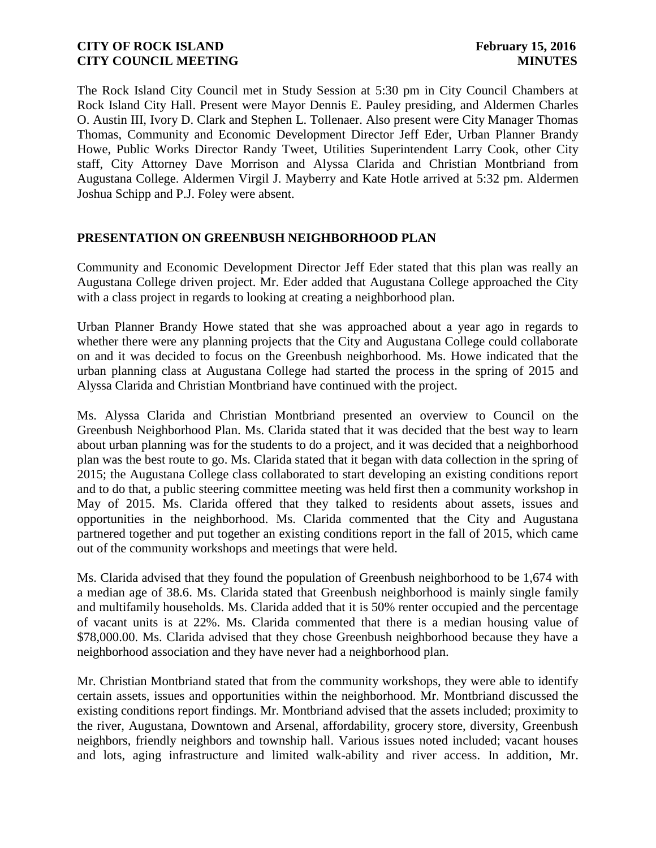The Rock Island City Council met in Study Session at 5:30 pm in City Council Chambers at Rock Island City Hall. Present were Mayor Dennis E. Pauley presiding, and Aldermen Charles O. Austin III, Ivory D. Clark and Stephen L. Tollenaer. Also present were City Manager Thomas Thomas, Community and Economic Development Director Jeff Eder, Urban Planner Brandy Howe, Public Works Director Randy Tweet, Utilities Superintendent Larry Cook, other City staff, City Attorney Dave Morrison and Alyssa Clarida and Christian Montbriand from Augustana College. Aldermen Virgil J. Mayberry and Kate Hotle arrived at 5:32 pm. Aldermen Joshua Schipp and P.J. Foley were absent.

### **PRESENTATION ON GREENBUSH NEIGHBORHOOD PLAN**

Community and Economic Development Director Jeff Eder stated that this plan was really an Augustana College driven project. Mr. Eder added that Augustana College approached the City with a class project in regards to looking at creating a neighborhood plan.

Urban Planner Brandy Howe stated that she was approached about a year ago in regards to whether there were any planning projects that the City and Augustana College could collaborate on and it was decided to focus on the Greenbush neighborhood. Ms. Howe indicated that the urban planning class at Augustana College had started the process in the spring of 2015 and Alyssa Clarida and Christian Montbriand have continued with the project.

Ms. Alyssa Clarida and Christian Montbriand presented an overview to Council on the Greenbush Neighborhood Plan. Ms. Clarida stated that it was decided that the best way to learn about urban planning was for the students to do a project, and it was decided that a neighborhood plan was the best route to go. Ms. Clarida stated that it began with data collection in the spring of 2015; the Augustana College class collaborated to start developing an existing conditions report and to do that, a public steering committee meeting was held first then a community workshop in May of 2015. Ms. Clarida offered that they talked to residents about assets, issues and opportunities in the neighborhood. Ms. Clarida commented that the City and Augustana partnered together and put together an existing conditions report in the fall of 2015, which came out of the community workshops and meetings that were held.

Ms. Clarida advised that they found the population of Greenbush neighborhood to be 1,674 with a median age of 38.6. Ms. Clarida stated that Greenbush neighborhood is mainly single family and multifamily households. Ms. Clarida added that it is 50% renter occupied and the percentage of vacant units is at 22%. Ms. Clarida commented that there is a median housing value of \$78,000.00. Ms. Clarida advised that they chose Greenbush neighborhood because they have a neighborhood association and they have never had a neighborhood plan.

Mr. Christian Montbriand stated that from the community workshops, they were able to identify certain assets, issues and opportunities within the neighborhood. Mr. Montbriand discussed the existing conditions report findings. Mr. Montbriand advised that the assets included; proximity to the river, Augustana, Downtown and Arsenal, affordability, grocery store, diversity, Greenbush neighbors, friendly neighbors and township hall. Various issues noted included; vacant houses and lots, aging infrastructure and limited walk-ability and river access. In addition, Mr.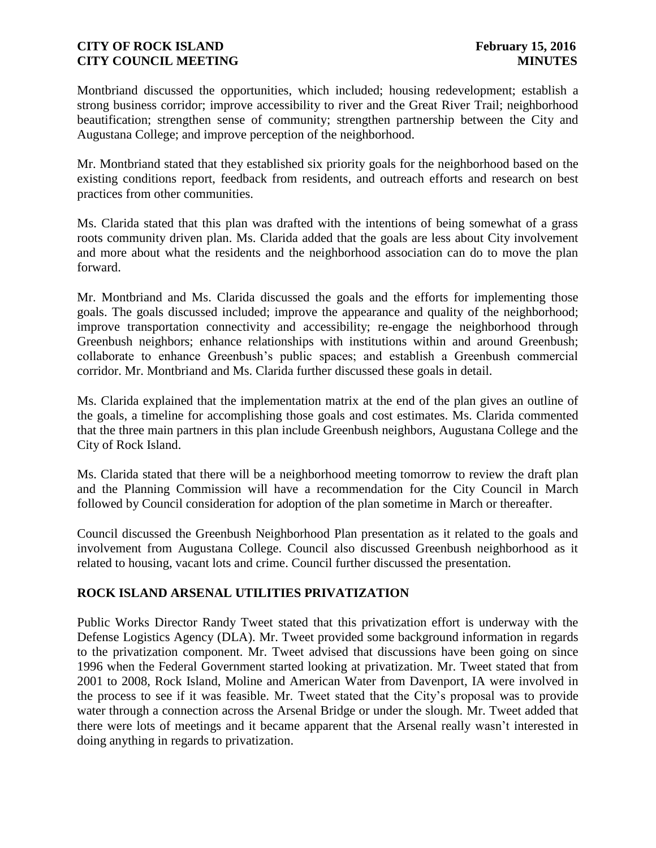Montbriand discussed the opportunities, which included; housing redevelopment; establish a strong business corridor; improve accessibility to river and the Great River Trail; neighborhood beautification; strengthen sense of community; strengthen partnership between the City and Augustana College; and improve perception of the neighborhood.

Mr. Montbriand stated that they established six priority goals for the neighborhood based on the existing conditions report, feedback from residents, and outreach efforts and research on best practices from other communities.

Ms. Clarida stated that this plan was drafted with the intentions of being somewhat of a grass roots community driven plan. Ms. Clarida added that the goals are less about City involvement and more about what the residents and the neighborhood association can do to move the plan forward.

Mr. Montbriand and Ms. Clarida discussed the goals and the efforts for implementing those goals. The goals discussed included; improve the appearance and quality of the neighborhood; improve transportation connectivity and accessibility; re-engage the neighborhood through Greenbush neighbors; enhance relationships with institutions within and around Greenbush; collaborate to enhance Greenbush's public spaces; and establish a Greenbush commercial corridor. Mr. Montbriand and Ms. Clarida further discussed these goals in detail.

Ms. Clarida explained that the implementation matrix at the end of the plan gives an outline of the goals, a timeline for accomplishing those goals and cost estimates. Ms. Clarida commented that the three main partners in this plan include Greenbush neighbors, Augustana College and the City of Rock Island.

Ms. Clarida stated that there will be a neighborhood meeting tomorrow to review the draft plan and the Planning Commission will have a recommendation for the City Council in March followed by Council consideration for adoption of the plan sometime in March or thereafter.

Council discussed the Greenbush Neighborhood Plan presentation as it related to the goals and involvement from Augustana College. Council also discussed Greenbush neighborhood as it related to housing, vacant lots and crime. Council further discussed the presentation.

## **ROCK ISLAND ARSENAL UTILITIES PRIVATIZATION**

Public Works Director Randy Tweet stated that this privatization effort is underway with the Defense Logistics Agency (DLA). Mr. Tweet provided some background information in regards to the privatization component. Mr. Tweet advised that discussions have been going on since 1996 when the Federal Government started looking at privatization. Mr. Tweet stated that from 2001 to 2008, Rock Island, Moline and American Water from Davenport, IA were involved in the process to see if it was feasible. Mr. Tweet stated that the City's proposal was to provide water through a connection across the Arsenal Bridge or under the slough. Mr. Tweet added that there were lots of meetings and it became apparent that the Arsenal really wasn't interested in doing anything in regards to privatization.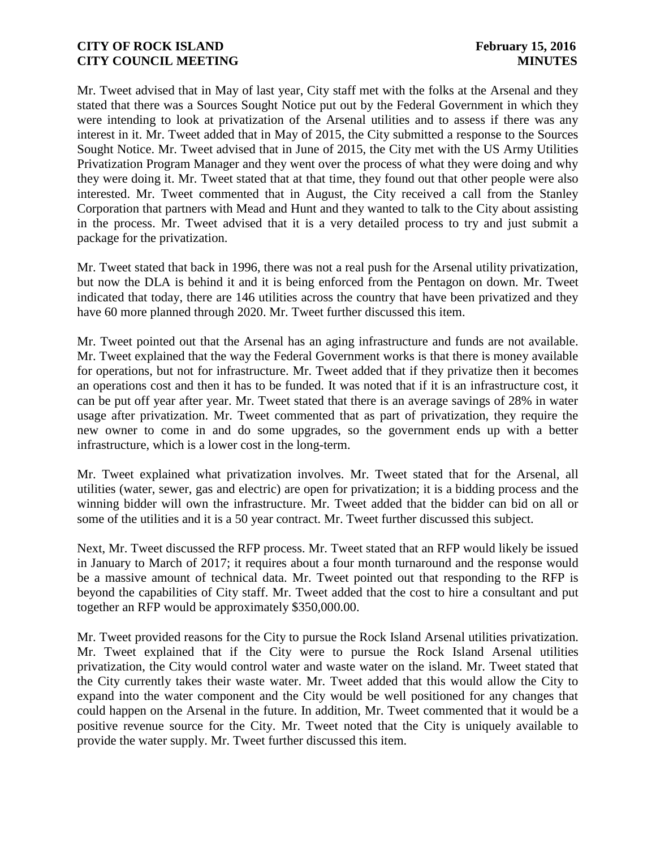Mr. Tweet advised that in May of last year, City staff met with the folks at the Arsenal and they stated that there was a Sources Sought Notice put out by the Federal Government in which they were intending to look at privatization of the Arsenal utilities and to assess if there was any interest in it. Mr. Tweet added that in May of 2015, the City submitted a response to the Sources Sought Notice. Mr. Tweet advised that in June of 2015, the City met with the US Army Utilities Privatization Program Manager and they went over the process of what they were doing and why they were doing it. Mr. Tweet stated that at that time, they found out that other people were also interested. Mr. Tweet commented that in August, the City received a call from the Stanley Corporation that partners with Mead and Hunt and they wanted to talk to the City about assisting in the process. Mr. Tweet advised that it is a very detailed process to try and just submit a package for the privatization.

Mr. Tweet stated that back in 1996, there was not a real push for the Arsenal utility privatization, but now the DLA is behind it and it is being enforced from the Pentagon on down. Mr. Tweet indicated that today, there are 146 utilities across the country that have been privatized and they have 60 more planned through 2020. Mr. Tweet further discussed this item.

Mr. Tweet pointed out that the Arsenal has an aging infrastructure and funds are not available. Mr. Tweet explained that the way the Federal Government works is that there is money available for operations, but not for infrastructure. Mr. Tweet added that if they privatize then it becomes an operations cost and then it has to be funded. It was noted that if it is an infrastructure cost, it can be put off year after year. Mr. Tweet stated that there is an average savings of 28% in water usage after privatization. Mr. Tweet commented that as part of privatization, they require the new owner to come in and do some upgrades, so the government ends up with a better infrastructure, which is a lower cost in the long-term.

Mr. Tweet explained what privatization involves. Mr. Tweet stated that for the Arsenal, all utilities (water, sewer, gas and electric) are open for privatization; it is a bidding process and the winning bidder will own the infrastructure. Mr. Tweet added that the bidder can bid on all or some of the utilities and it is a 50 year contract. Mr. Tweet further discussed this subject.

Next, Mr. Tweet discussed the RFP process. Mr. Tweet stated that an RFP would likely be issued in January to March of 2017; it requires about a four month turnaround and the response would be a massive amount of technical data. Mr. Tweet pointed out that responding to the RFP is beyond the capabilities of City staff. Mr. Tweet added that the cost to hire a consultant and put together an RFP would be approximately \$350,000.00.

Mr. Tweet provided reasons for the City to pursue the Rock Island Arsenal utilities privatization. Mr. Tweet explained that if the City were to pursue the Rock Island Arsenal utilities privatization, the City would control water and waste water on the island. Mr. Tweet stated that the City currently takes their waste water. Mr. Tweet added that this would allow the City to expand into the water component and the City would be well positioned for any changes that could happen on the Arsenal in the future. In addition, Mr. Tweet commented that it would be a positive revenue source for the City. Mr. Tweet noted that the City is uniquely available to provide the water supply. Mr. Tweet further discussed this item.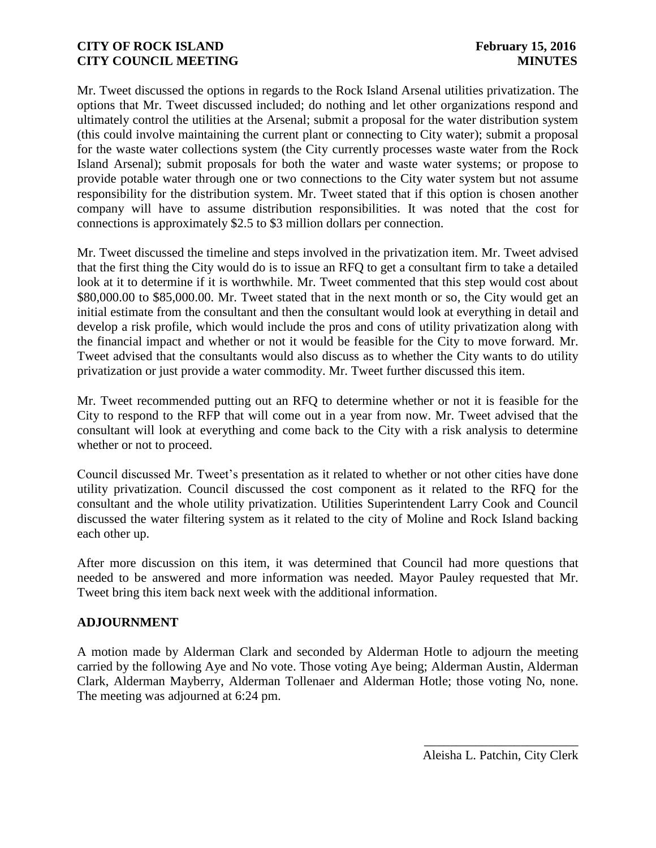Mr. Tweet discussed the options in regards to the Rock Island Arsenal utilities privatization. The options that Mr. Tweet discussed included; do nothing and let other organizations respond and ultimately control the utilities at the Arsenal; submit a proposal for the water distribution system (this could involve maintaining the current plant or connecting to City water); submit a proposal for the waste water collections system (the City currently processes waste water from the Rock Island Arsenal); submit proposals for both the water and waste water systems; or propose to provide potable water through one or two connections to the City water system but not assume responsibility for the distribution system. Mr. Tweet stated that if this option is chosen another company will have to assume distribution responsibilities. It was noted that the cost for connections is approximately \$2.5 to \$3 million dollars per connection.

Mr. Tweet discussed the timeline and steps involved in the privatization item. Mr. Tweet advised that the first thing the City would do is to issue an RFQ to get a consultant firm to take a detailed look at it to determine if it is worthwhile. Mr. Tweet commented that this step would cost about \$80,000.00 to \$85,000.00. Mr. Tweet stated that in the next month or so, the City would get an initial estimate from the consultant and then the consultant would look at everything in detail and develop a risk profile, which would include the pros and cons of utility privatization along with the financial impact and whether or not it would be feasible for the City to move forward. Mr. Tweet advised that the consultants would also discuss as to whether the City wants to do utility privatization or just provide a water commodity. Mr. Tweet further discussed this item.

Mr. Tweet recommended putting out an RFQ to determine whether or not it is feasible for the City to respond to the RFP that will come out in a year from now. Mr. Tweet advised that the consultant will look at everything and come back to the City with a risk analysis to determine whether or not to proceed.

Council discussed Mr. Tweet's presentation as it related to whether or not other cities have done utility privatization. Council discussed the cost component as it related to the RFQ for the consultant and the whole utility privatization. Utilities Superintendent Larry Cook and Council discussed the water filtering system as it related to the city of Moline and Rock Island backing each other up.

After more discussion on this item, it was determined that Council had more questions that needed to be answered and more information was needed. Mayor Pauley requested that Mr. Tweet bring this item back next week with the additional information.

## **ADJOURNMENT**

A motion made by Alderman Clark and seconded by Alderman Hotle to adjourn the meeting carried by the following Aye and No vote. Those voting Aye being; Alderman Austin, Alderman Clark, Alderman Mayberry, Alderman Tollenaer and Alderman Hotle; those voting No, none. The meeting was adjourned at 6:24 pm.

> \_\_\_\_\_\_\_\_\_\_\_\_\_\_\_\_\_\_\_\_\_\_\_\_ Aleisha L. Patchin, City Clerk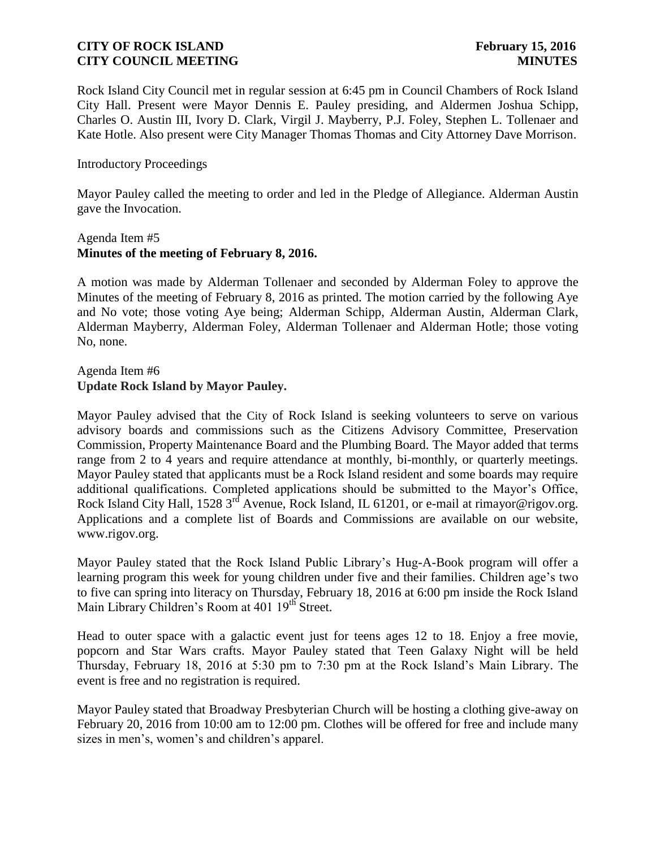Rock Island City Council met in regular session at 6:45 pm in Council Chambers of Rock Island City Hall. Present were Mayor Dennis E. Pauley presiding, and Aldermen Joshua Schipp, Charles O. Austin III, Ivory D. Clark, Virgil J. Mayberry, P.J. Foley, Stephen L. Tollenaer and Kate Hotle. Also present were City Manager Thomas Thomas and City Attorney Dave Morrison.

### Introductory Proceedings

Mayor Pauley called the meeting to order and led in the Pledge of Allegiance. Alderman Austin gave the Invocation.

### Agenda Item #5 **Minutes of the meeting of February 8, 2016.**

A motion was made by Alderman Tollenaer and seconded by Alderman Foley to approve the Minutes of the meeting of February 8, 2016 as printed. The motion carried by the following Aye and No vote; those voting Aye being; Alderman Schipp, Alderman Austin, Alderman Clark, Alderman Mayberry, Alderman Foley, Alderman Tollenaer and Alderman Hotle; those voting No, none.

### Agenda Item #6 **Update Rock Island by Mayor Pauley.**

Mayor Pauley advised that the City of Rock Island is seeking volunteers to serve on various advisory boards and commissions such as the Citizens Advisory Committee, Preservation Commission, Property Maintenance Board and the Plumbing Board. The Mayor added that terms range from 2 to 4 years and require attendance at monthly, bi-monthly, or quarterly meetings. Mayor Pauley stated that applicants must be a Rock Island resident and some boards may require additional qualifications. Completed applications should be submitted to the Mayor's Office, Rock Island City Hall, 1528 3<sup>rd</sup> Avenue, Rock Island, IL 61201, or e-mail at rimayor@rigov.org. Applications and a complete list of Boards and Commissions are available on our website, www.rigov.org.

Mayor Pauley stated that the Rock Island Public Library's Hug-A-Book program will offer a learning program this week for young children under five and their families. Children age's two to five can spring into literacy on Thursday, February 18, 2016 at 6:00 pm inside the Rock Island Main Library Children's Room at 401 19<sup>th</sup> Street.

Head to outer space with a galactic event just for teens ages 12 to 18. Enjoy a free movie, popcorn and Star Wars crafts. Mayor Pauley stated that Teen Galaxy Night will be held Thursday, February 18, 2016 at 5:30 pm to 7:30 pm at the Rock Island's Main Library. The event is free and no registration is required.

Mayor Pauley stated that Broadway Presbyterian Church will be hosting a clothing give-away on February 20, 2016 from 10:00 am to 12:00 pm. Clothes will be offered for free and include many sizes in men's, women's and children's apparel.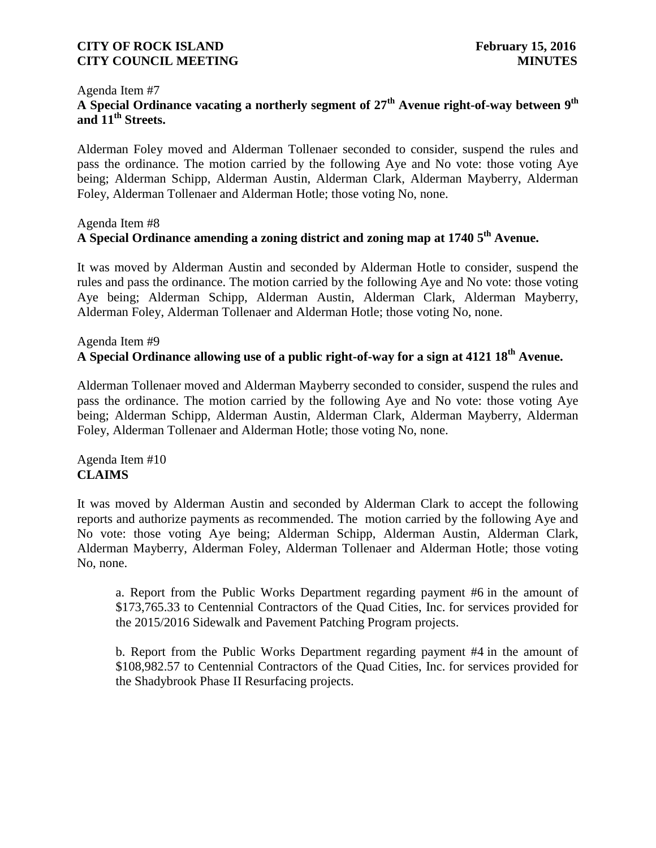### Agenda Item #7 **A Special Ordinance vacating a northerly segment of 27th Avenue right-of-way between 9 th and 11th Streets.**

Alderman Foley moved and Alderman Tollenaer seconded to consider, suspend the rules and pass the ordinance. The motion carried by the following Aye and No vote: those voting Aye being; Alderman Schipp, Alderman Austin, Alderman Clark, Alderman Mayberry, Alderman Foley, Alderman Tollenaer and Alderman Hotle; those voting No, none.

## Agenda Item #8 **A Special Ordinance amending a zoning district and zoning map at 1740 5 th Avenue.**

It was moved by Alderman Austin and seconded by Alderman Hotle to consider, suspend the rules and pass the ordinance. The motion carried by the following Aye and No vote: those voting Aye being; Alderman Schipp, Alderman Austin, Alderman Clark, Alderman Mayberry, Alderman Foley, Alderman Tollenaer and Alderman Hotle; those voting No, none.

# Agenda Item #9 **A Special Ordinance allowing use of a public right-of-way for a sign at 4121 18th Avenue.**

Alderman Tollenaer moved and Alderman Mayberry seconded to consider, suspend the rules and pass the ordinance. The motion carried by the following Aye and No vote: those voting Aye being; Alderman Schipp, Alderman Austin, Alderman Clark, Alderman Mayberry, Alderman Foley, Alderman Tollenaer and Alderman Hotle; those voting No, none.

Agenda Item #10 **CLAIMS**

It was moved by Alderman Austin and seconded by Alderman Clark to accept the following reports and authorize payments as recommended. The motion carried by the following Aye and No vote: those voting Aye being; Alderman Schipp, Alderman Austin, Alderman Clark, Alderman Mayberry, Alderman Foley, Alderman Tollenaer and Alderman Hotle; those voting No, none.

a. Report from the Public Works Department regarding payment #6 in the amount of \$173,765.33 to Centennial Contractors of the Quad Cities, Inc. for services provided for the 2015/2016 Sidewalk and Pavement Patching Program projects.

b. Report from the Public Works Department regarding payment #4 in the amount of \$108,982.57 to Centennial Contractors of the Quad Cities, Inc. for services provided for the Shadybrook Phase II Resurfacing projects.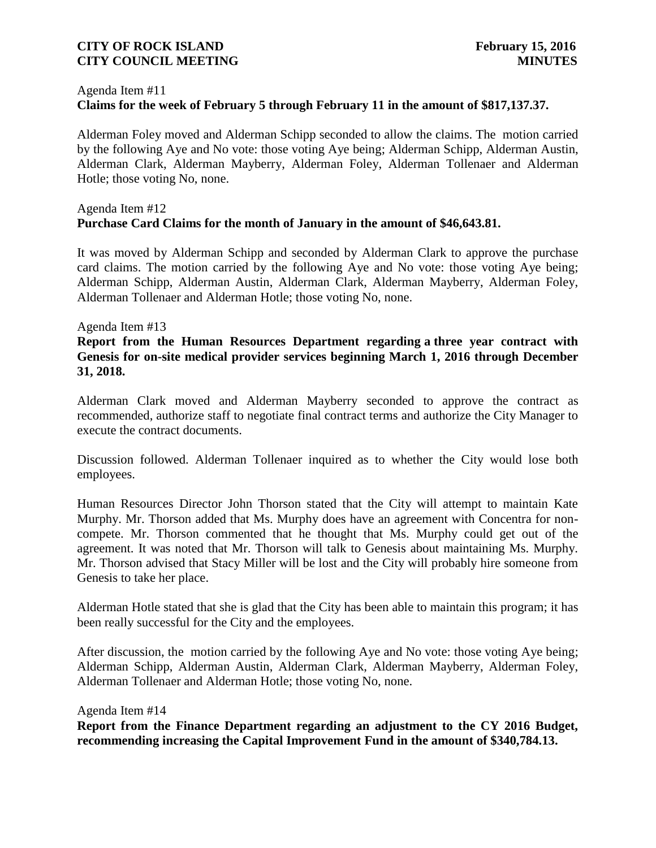#### Agenda Item #11

## **Claims for the week of February 5 through February 11 in the amount of \$817,137.37.**

Alderman Foley moved and Alderman Schipp seconded to allow the claims. The motion carried by the following Aye and No vote: those voting Aye being; Alderman Schipp, Alderman Austin, Alderman Clark, Alderman Mayberry, Alderman Foley, Alderman Tollenaer and Alderman Hotle; those voting No, none.

## Agenda Item #12 **Purchase Card Claims for the month of January in the amount of \$46,643.81.**

It was moved by Alderman Schipp and seconded by Alderman Clark to approve the purchase card claims. The motion carried by the following Aye and No vote: those voting Aye being; Alderman Schipp, Alderman Austin, Alderman Clark, Alderman Mayberry, Alderman Foley, Alderman Tollenaer and Alderman Hotle; those voting No, none.

#### Agenda Item #13

## **Report from the Human Resources Department regarding a three year contract with Genesis for on-site medical provider services beginning March 1, 2016 through December 31, 2018.**

Alderman Clark moved and Alderman Mayberry seconded to approve the contract as recommended, authorize staff to negotiate final contract terms and authorize the City Manager to execute the contract documents.

Discussion followed. Alderman Tollenaer inquired as to whether the City would lose both employees.

Human Resources Director John Thorson stated that the City will attempt to maintain Kate Murphy. Mr. Thorson added that Ms. Murphy does have an agreement with Concentra for noncompete. Mr. Thorson commented that he thought that Ms. Murphy could get out of the agreement. It was noted that Mr. Thorson will talk to Genesis about maintaining Ms. Murphy. Mr. Thorson advised that Stacy Miller will be lost and the City will probably hire someone from Genesis to take her place.

Alderman Hotle stated that she is glad that the City has been able to maintain this program; it has been really successful for the City and the employees.

After discussion, the motion carried by the following Aye and No vote: those voting Aye being; Alderman Schipp, Alderman Austin, Alderman Clark, Alderman Mayberry, Alderman Foley, Alderman Tollenaer and Alderman Hotle; those voting No, none.

#### Agenda Item #14

**Report from the Finance Department regarding an adjustment to the CY 2016 Budget, recommending increasing the Capital Improvement Fund in the amount of \$340,784.13.**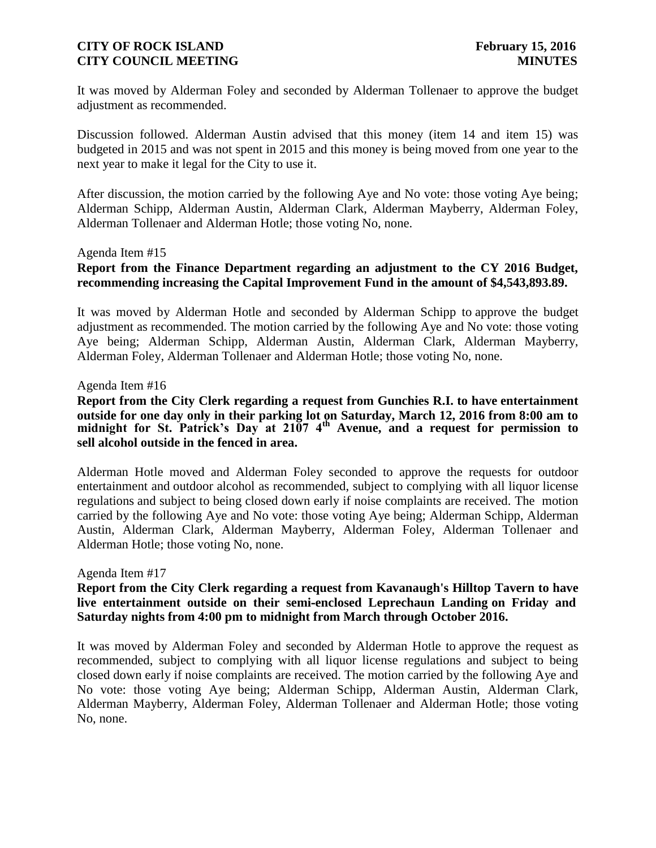It was moved by Alderman Foley and seconded by Alderman Tollenaer to approve the budget adjustment as recommended.

Discussion followed. Alderman Austin advised that this money (item 14 and item 15) was budgeted in 2015 and was not spent in 2015 and this money is being moved from one year to the next year to make it legal for the City to use it.

After discussion, the motion carried by the following Aye and No vote: those voting Aye being; Alderman Schipp, Alderman Austin, Alderman Clark, Alderman Mayberry, Alderman Foley, Alderman Tollenaer and Alderman Hotle; those voting No, none.

#### Agenda Item #15

## **Report from the Finance Department regarding an adjustment to the CY 2016 Budget, recommending increasing the Capital Improvement Fund in the amount of \$4,543,893.89.**

It was moved by Alderman Hotle and seconded by Alderman Schipp to approve the budget adjustment as recommended. The motion carried by the following Aye and No vote: those voting Aye being; Alderman Schipp, Alderman Austin, Alderman Clark, Alderman Mayberry, Alderman Foley, Alderman Tollenaer and Alderman Hotle; those voting No, none.

#### Agenda Item #16

**Report from the City Clerk regarding a request from Gunchies R.I. to have entertainment outside for one day only in their parking lot on Saturday, March 12, 2016 from 8:00 am to midnight for St. Patrick's Day at 2107 4th Avenue, and a request for permission to sell alcohol outside in the fenced in area.**

Alderman Hotle moved and Alderman Foley seconded to approve the requests for outdoor entertainment and outdoor alcohol as recommended, subject to complying with all liquor license regulations and subject to being closed down early if noise complaints are received. The motion carried by the following Aye and No vote: those voting Aye being; Alderman Schipp, Alderman Austin, Alderman Clark, Alderman Mayberry, Alderman Foley, Alderman Tollenaer and Alderman Hotle; those voting No, none.

#### Agenda Item #17

## **Report from the City Clerk regarding a request from Kavanaugh's Hilltop Tavern to have live entertainment outside on their semi-enclosed Leprechaun Landing on Friday and Saturday nights from 4:00 pm to midnight from March through October 2016.**

It was moved by Alderman Foley and seconded by Alderman Hotle to approve the request as recommended, subject to complying with all liquor license regulations and subject to being closed down early if noise complaints are received. The motion carried by the following Aye and No vote: those voting Aye being; Alderman Schipp, Alderman Austin, Alderman Clark, Alderman Mayberry, Alderman Foley, Alderman Tollenaer and Alderman Hotle; those voting No, none.